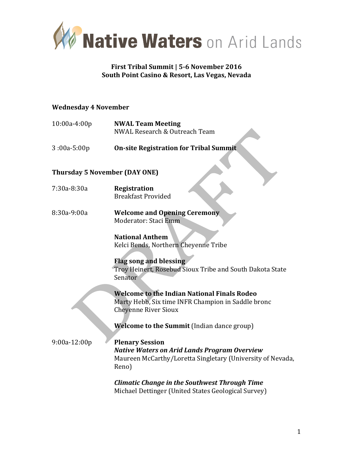

## **First Tribal Summit** | 5-6 November 2016 South Point Casino & Resort, Las Vegas, Nevada

#### **Wednesday 4 November**

| 10:00a-4:00p                         | <b>NWAL Team Meeting</b><br>NWAL Research & Outreach Team                                                                                            |
|--------------------------------------|------------------------------------------------------------------------------------------------------------------------------------------------------|
| $3:00a-5:00p$                        | <b>On-site Registration for Tribal Summit</b>                                                                                                        |
| <b>Thursday 5 November (DAY ONE)</b> |                                                                                                                                                      |
| 7:30a-8:30a                          | Registration<br><b>Breakfast Provided</b>                                                                                                            |
| 8:30a-9:00a                          | <b>Welcome and Opening Ceremony</b><br>Moderator: Staci Emm                                                                                          |
|                                      | <b>National Anthem</b><br>Kelci Bends, Northern Cheyenne Tribe                                                                                       |
|                                      | <b>Flag song and blessing</b><br>Troy Heinert, Rosebud Sioux Tribe and South Dakota State<br>Senator                                                 |
|                                      | <b>Welcome to the Indian National Finals Rodeo</b><br>Marty Hebb, Six time INFR Champion in Saddle bronc<br><b>Cheyenne River Sioux</b>              |
|                                      | Welcome to the Summit (Indian dance group)                                                                                                           |
| $9:00a-12:00p$                       | <b>Plenary Session</b><br><b>Native Waters on Arid Lands Program Overview</b><br>Maureen McCarthy/Loretta Singletary (University of Nevada,<br>Reno) |
|                                      | <b>Climatic Change in the Southwest Through Time</b><br>Michael Dettinger (United States Geological Survey)                                          |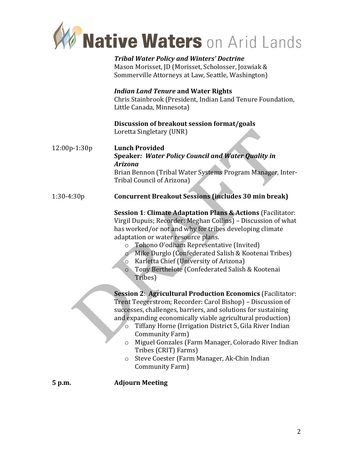

*Tribal Water Policy and Winters' Doctrine* Mason Morisset, JD (Morisset, Scholosser, Jozwiak & Sommerville Attorneys at Law, Seattle, Washington)

## *Indian Land Tenure* **and Water Rights**

Chris Stainbrook (President, Indian Land Tenure Foundation, Little Canada, Minnesota)

#### **Discussion of breakout session format/goals** Loretta Singletary (UNR)

12:00p-1:30p **Lunch Provided Speaker: Water Policy Council and Water Quality in** *Arizona* Brian Bennon (Tribal Water Systems Program Manager, Inter-Tribal Council of Arizona)

## 1:30-4:30p **Concurrent Breakout Sessions (includes 30 min break)**

**Session 1: Climate Adaptation Plans & Actions** (Facilitator: Virgil Dupuis; Recorder: Meghan Collins) – Discussion of what has worked/or not and why for tribes developing climate adaptation or water resource plans.

- $\circ$  Tohono O'odham Representative (Invited)
- o Mike Durglo (Confederated Salish & Kootenai Tribes)
- $\circ$  Karletta Chief (University of Arizona)
- o Tony Berthelote (Confederated Salish & Kootenai Tribes)

**Session 2: Agricultural Production Economics (Facilitator:** Trent Teegerstrom; Recorder: Carol Bishop) – Discussion of successes, challenges, barriers, and solutions for sustaining and expanding economically viable agricultural production)

- $\circ$  Tiffany Horne (Irrigation District 5, Gila River Indian Community Farm)
- $\circ$  Miguel Gonzales (Farm Manager, Colorado River Indian Tribes (CRIT) Farms)
- o Steve Coester (Farm Manager, Ak-Chin Indian Community Farm)

**5** p.m. **Adjourn Meeting**